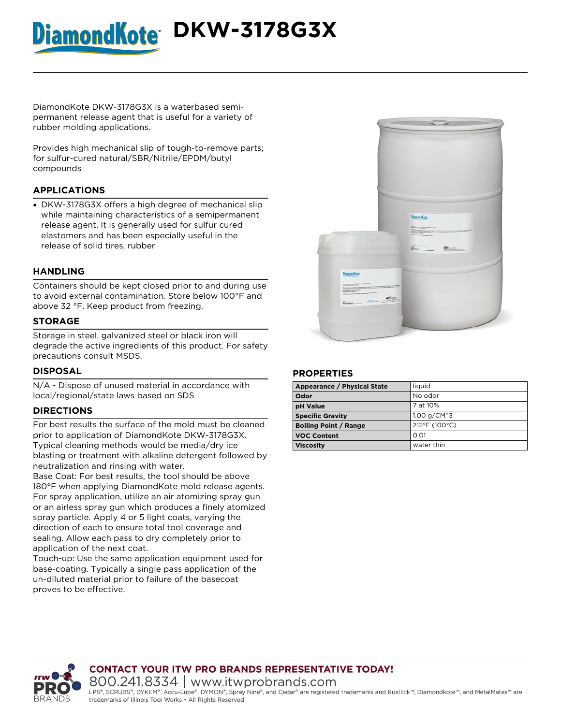# DiamondKote<sup>+</sup> DKW-3178G3X

**DiamondKote DKW-3178G3X** is a waterbased semipermanent release agent that is useful for a variety of rubber molding applications.

Provides high mechanical slip of tough-to-remove parts; for sulfur-cured natural/SBR/Nitrile/EPDM/butyl compounds

# **APPLICATIONS**

DKW-3178G3X offers a high degree of mechanical slip while maintaining characteristics of a semipermanent release agent. It is generally used for sulfur cured elastomers and has been especially useful in the release of solid tires, rubber

# **HANDLING**

Containers should be kept closed prior to and during use to avoid external contamination. Store below 100°F and above 32 °F. Keep product from freezing.

## **STORAGE**

Storage in steel, galvanized steel or black iron will degrade the active ingredients of this product. For safety precautions consult MSDS.

### **DISPOSAL**

N/A - Dispose of unused material in accordance with local/regional/state laws based on SDS

# **DIRECTIONS**

For best results the surface of the mold must be cleaned prior to application of DiamondKote DKW-3178G3X. Typical cleaning methods would be media/dry ice blasting or treatment with alkaline detergent followed by neutralization and rinsing with water.

Base Coat: For best results, the tool should be above 180°F when applying DiamondKote mold release agents. For spray application, utilize an air atomizing spray gun or an airless spray gun which produces a finely atomized spray particle. Apply 4 or 5 light coats, varying the direction of each to ensure total tool coverage and sealing. Allow each pass to dry completely prior to application of the next coat.

Touch-up: Use the same application equipment used for base-coating. Typically a single pass application of the un-diluted material prior to failure of the basecoat proves to be effective.



### **PROPERTIES**

| Appearance / Physical State  | liauid        |
|------------------------------|---------------|
| Odor                         | No odor       |
| <b>pH Value</b>              | 7 at 10%      |
| <b>Specific Gravity</b>      | 1.00 $q/CM^3$ |
| <b>Boiling Point / Range</b> | 212°F (100°C) |
| <b>VOC Content</b>           | 0.01          |
| <b>Viscosity</b>             | water thin    |



**CONTACT YOUR ITW PRO BRANDS REPRESENTATIVE TODAY!** 800.241.8334 | www.itwprobrands.com

LPS®, SCRUBS®, DYKEM®, Accu-Lube®, DYMON®, Spray Nine®, and Cedar® are registered trademarks and Rustlick™, Diamondkote™, and MetalMates™ are trademarks of Illinois Tool Works • All Rights Reserved